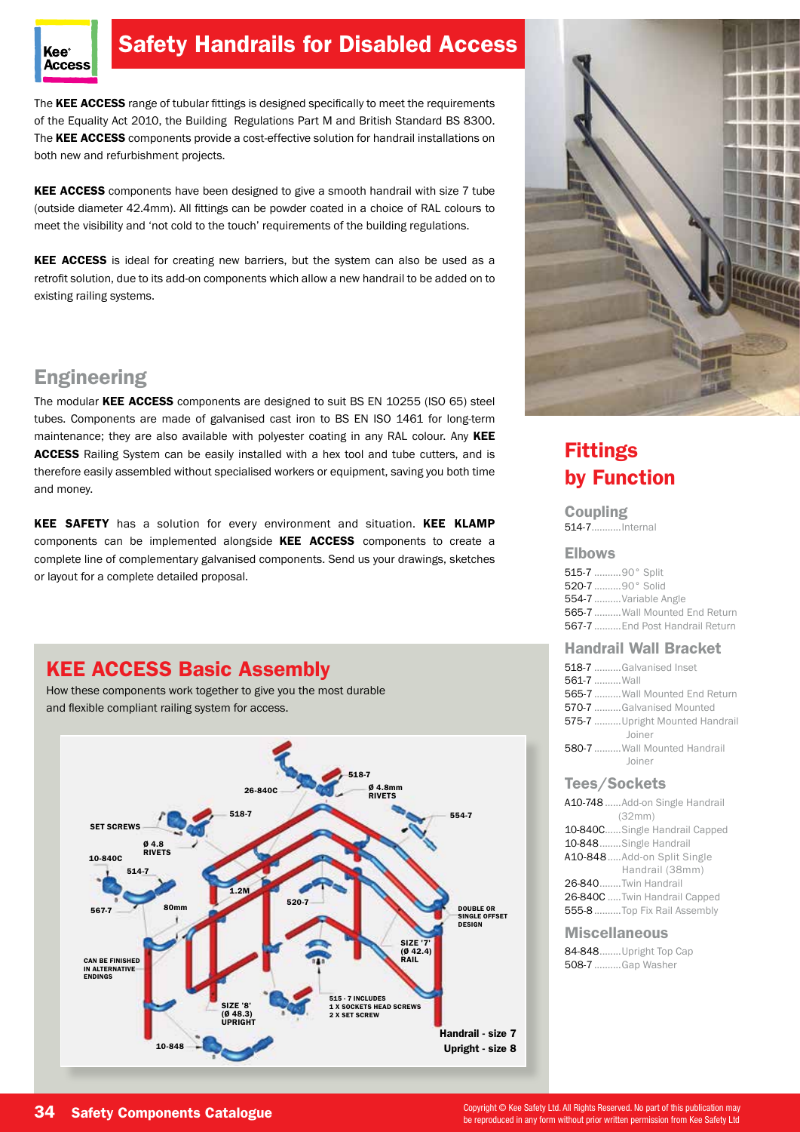

# Safety Handrails for Disabled Access

The KEE ACCESS range of tubular fittings is designed specifically to meet the requirements of the Equality Act 2010, the Building Regulations Part M and British Standard BS 8300. The KEE ACCESS components provide a cost-effective solution for handrail installations on both new and refurbishment projects.

KEE ACCESS components have been designed to give a smooth handrail with size 7 tube (outside diameter 42.4mm). All fittings can be powder coated in a choice of RAL colours to meet the visibility and 'not cold to the touch' requirements of the building regulations.

KEE ACCESS is ideal for creating new barriers, but the system can also be used as a retrofit solution, due to its add-on components which allow a new handrail to be added on to existing railing systems.

# **Engineering**

The modular KEE ACCESS components are designed to suit BS EN 10255 (ISO 65) steel tubes. Components are made of galvanised cast iron to BS EN ISO 1461 for long-term maintenance; they are also available with polyester coating in any RAL colour. Any KEE ACCESS Railing System can be easily installed with a hex tool and tube cutters, and is therefore easily assembled without specialised workers or equipment, saving you both time and money.

KEE SAFETY has a solution for every environment and situation. KEE KLAMP components can be implemented alongside KEE ACCESS components to create a complete line of complementary galvanised components. Send us your drawings, sketches or layout for a complete detailed proposal.

# KEE ACCESS Basic Assembly

How these components work together to give you the most durable and flexible compliant railing system for access.





# Fittings by Function

Coupling 514-7...........Internal

#### Elbows

515-7 ..........90° Split 520-7 ..........90° Solid 554-7 ..........Variable Angle 565-7 .......... Wall Mounted End Return 567-7 ..........End Post Handrail Return

## Handrail Wall Bracket

| 518-7 Galvanised Inset                |  |
|---------------------------------------|--|
| 561-7  Wall                           |  |
| <b>565-7 </b> Wall Mounted End Return |  |
| 570-7 Galvanised Mounted              |  |
| 575-7 Upright Mounted Handrail        |  |
| Joiner                                |  |
| <b>580-7 </b> Wall Mounted Handrail   |  |
| Joiner                                |  |

## Tees/Sockets

| A10-748  Add-on Single Handrail |  |  |  |  |  |
|---------------------------------|--|--|--|--|--|
| (32mm)                          |  |  |  |  |  |
| 10-840CSingle Handrail Capped   |  |  |  |  |  |
| 10-848Single Handrail           |  |  |  |  |  |
| A10-848Add-on Split Single      |  |  |  |  |  |
| Handrail (38mm)                 |  |  |  |  |  |
| 26-840Twin Handrail             |  |  |  |  |  |
| 26-840C  Twin Handrail Capped   |  |  |  |  |  |
| 555-8  Top Fix Rail Assembly    |  |  |  |  |  |

## **Miscellaneous**

84-848........Upright Top Cap 508-7 ..........Gap Washer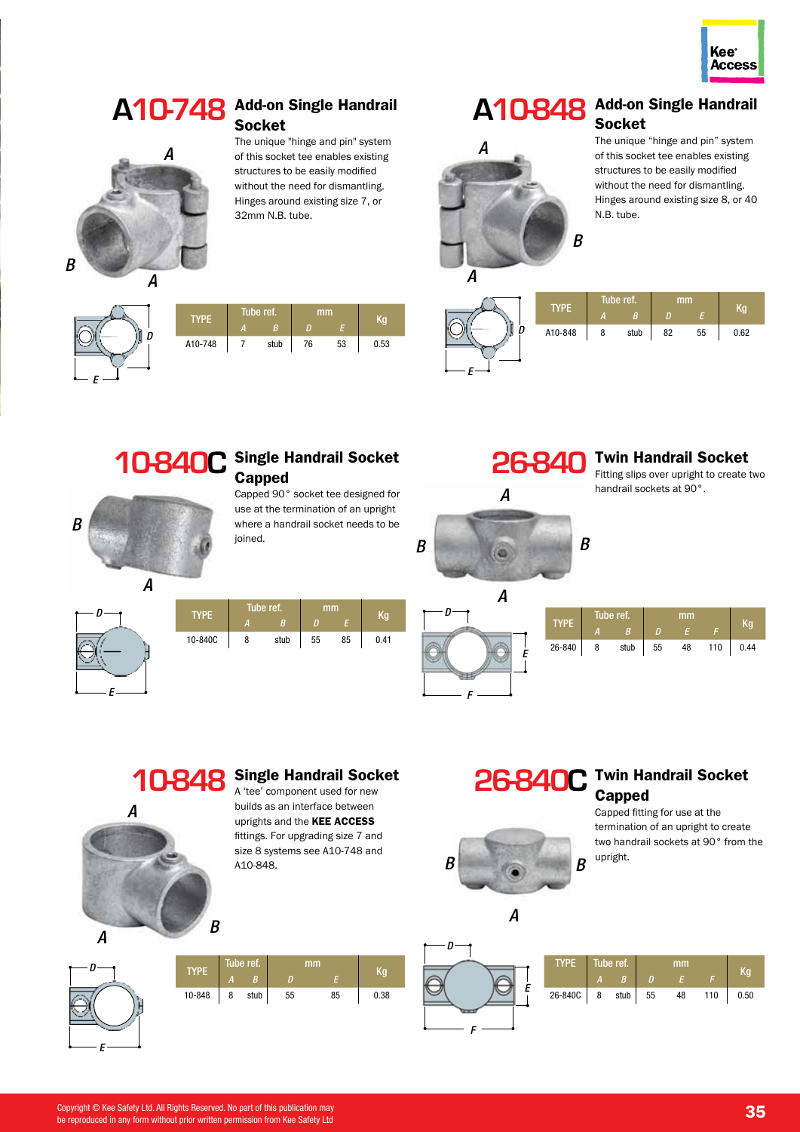



## **A10-748** Add-on Single Handrail **Socket**

The unique "hinge and pin" system of this socket tee enables existing structures to be easily modified without the need for dismantling. Hinges around existing size 7, or 32mm N.B. tube.

# **A10-848** Add-on Single Handrail Socket



#### The unique "hinge and pin" system of this socket tee enables existing structures to be easily modified without the need for dismantling. Hinges around existing size 8, or 40 N.B. tube.



| <b>TYPE</b> | Tube ref. |      | mm |    | Κa   |  |
|-------------|-----------|------|----|----|------|--|
|             | И.        | B.   |    |    |      |  |
| A10-748     |           | stub | 76 | 53 | 0.53 |  |
|             |           |      |    |    |      |  |





## **10-840C** Single Handrail Socket **Capped**

Capped 90° socket tee designed for use at the termination of an upright where a handrail socket needs to be joined.



*B*

|             | Tube ref. |      | mm |    |      |  |
|-------------|-----------|------|----|----|------|--|
| <b>TYPE</b> | А         | B    | п  | E  |      |  |
| 10-840C     | 8         | stub | 55 | 85 | 0.41 |  |
|             |           |      |    |    |      |  |



# *E*  $\longrightarrow$  *F*

# **10-848** Single Handrail Socket



*E*

*D*

A 'tee' component used for new builds as an interface between uprights and the KEE ACCESS fittings. For upgrading size 7 and size 8 systems see A10-748 and A10-848.

# TYPE Tube ref. mm Kg *<sup>A</sup> <sup>B</sup> <sup>D</sup> <sup>E</sup>* 10-848 8 stub 55 85 0.38

## 26-840C Twin Handrail Socket **Capped** Capped fitting for use at the



termination of an upright to create two handrail sockets at 90° from the upright.

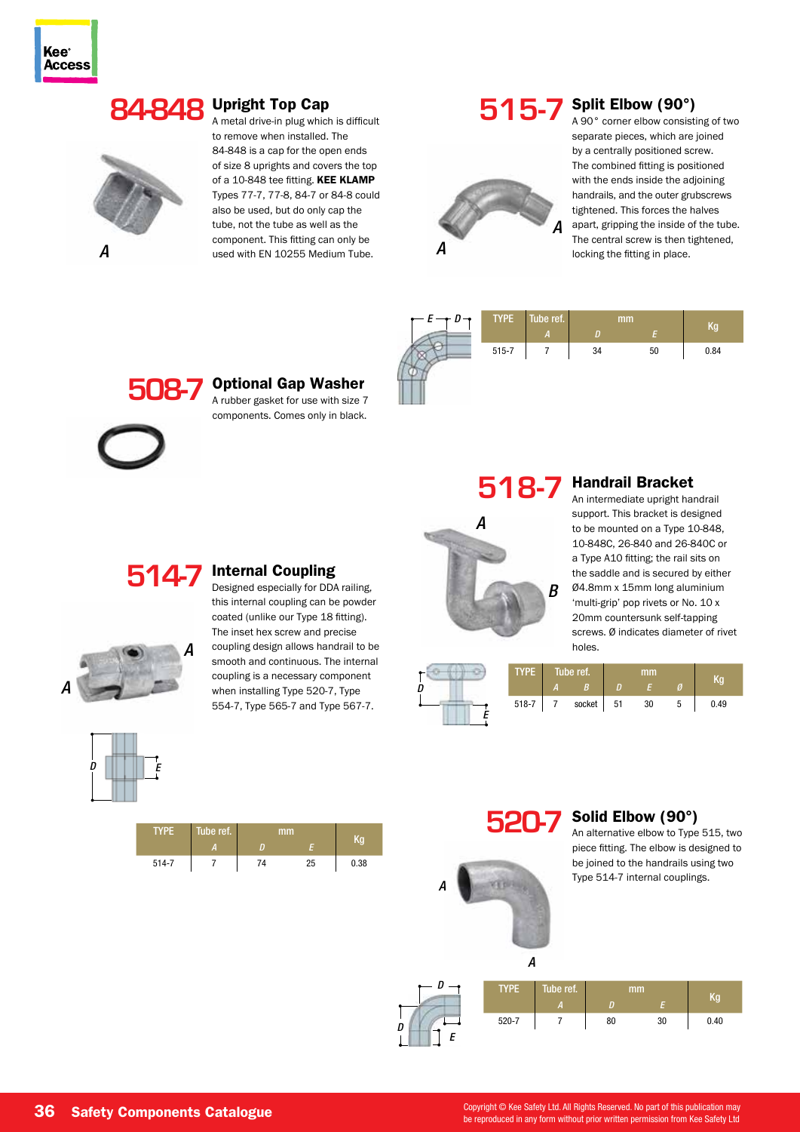# **84-848** Upright Top Cap



A metal drive-in plug which is difficult to remove when installed. The 84-848 is a cap for the open ends of size 8 uprights and covers the top of a 10-848 tee fitting. KEE KLAMP Types 77-7, 77-8, 84-7 or 84-8 could also be used, but do only cap the tube, not the tube as well as the component. This fitting can only be **A** used with EN 10255 Medium Tube.

# **515-7** Split Elbow (90°)



A 90° corner elbow consisting of two separate pieces, which are joined by a centrally positioned screw. The combined fitting is positioned with the ends inside the adjoining handrails, and the outer grubscrews tightened. This forces the halves apart, gripping the inside of the tube. The central screw is then tightened, locking the fitting in place.



**508-7** Optional Gap Washer



A rubber gasket for use with size 7 components. Comes only in black.

**518-7**

# *A B*

## Handrail Bracket

An intermediate upright handrail support. This bracket is designed to be mounted on a Type 10-848, 10-848C, 26-840 and 26-840C or a Type A10 fitting; the rail sits on the saddle and is secured by either Ø4.8mm x 15mm long aluminium 'multi-grip' pop rivets or No. 10 x 20mm countersunk self-tapping screws. Ø indicates diameter of rivet holes.



#### **514-7** Internal Coupling

Designed especially for DDA railing, this internal coupling can be powder coated (unlike our Type 18 fitting). The inset hex screw and precise coupling design allows handrail to be smooth and continuous. The internal coupling is a necessary component when installing Type 520-7, Type 554-7, Type 565-7 and Type 567-7.



| <b>TYPE</b> | Tube ref. | mm |    | Kα   |  |
|-------------|-----------|----|----|------|--|
|             | т         |    |    |      |  |
| $514 - 7$   |           | 74 | 25 | 0.38 |  |



*A*

## **520-7** Solid Elbow (90°)

An alternative elbow to Type 515, two piece fitting. The elbow is designed to be joined to the handrails using two Type 514-7 internal couplings.



*A*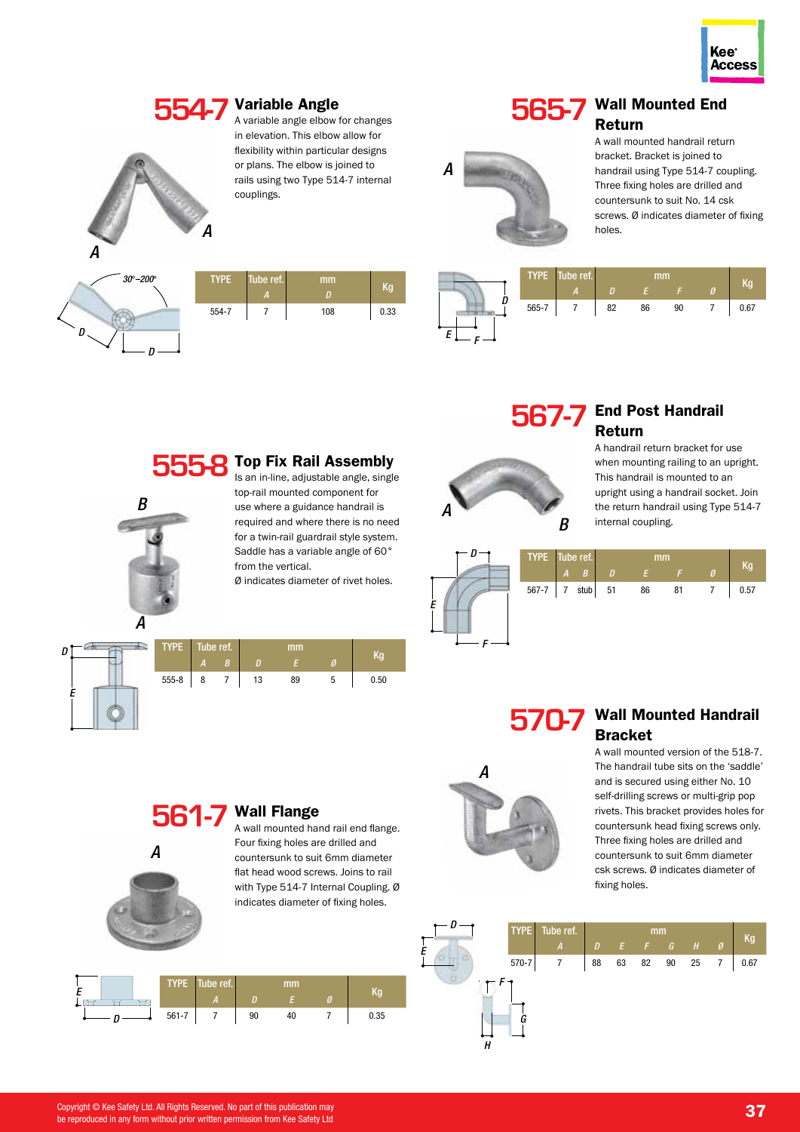

# **554-7** Variable Angle<br>
Avariable angle elbow



A variable angle elbow for changes in elevation. This elbow allow for flexibility within particular designs or plans. The elbow is joined to rails using two Type 514-7 internal couplings.



*A*

## **565-7** Wall Mounted End Return A wall mounted handrail return bracket. Bracket is joined to

handrail using Type 514-7 coupling. Three fixing holes are drilled and countersunk to suit No. 14 csk screws. Ø indicates diameter of fixing holes.



*A*

*A*

*B*

| <b>TYPE</b> | Tube ref.<br>А | mm<br>D | Kg   |
|-------------|----------------|---------|------|
| 554-7       |                | 108     | 0.33 |
|             |                |         |      |

Top Fix Rail Assembly Is an in-line, adjustable angle, single top-rail mounted component for use where a guidance handrail is required and where there is no need for a twin-rail guardrail style system. Saddle has a variable angle of 60°

Ø indicates diameter of rivet holes.

from the vertical.



# **567-7** End Post Handrail Return



*F*

*A*

*E*

## A handrail return bracket for use when mounting railing to an upright. This handrail is mounted to an upright using a handrail socket. Join the return handrail using Type 514-7 internal coupling.



TYPE Tube ref. mm Kg *<sup>A</sup> <sup>B</sup> <sup>D</sup> <sup>E</sup> <sup>Ø</sup>* 555-8 8 7 13 89 5 0.50 *D E*

**555-8**

## **570-7** Wall Mounted Handrail Bracket

A wall mounted version of the 518-7. The handrail tube sits on the 'saddle' and is secured using either No. 10 self-drilling screws or multi-grip pop rivets. This bracket provides holes for countersunk head fixing screws only. Three fixing holes are drilled and countersunk to suit 6mm diameter csk screws. Ø indicates diameter of fixing holes.



# **561-7** Wall Flange

A wall mounted hand rail end flange. Four fixing holes are drilled and countersunk to suit 6mm diameter flat head wood screws. Joins to rail with Type 514-7 Internal Coupling. Ø indicates diameter of fixing holes.